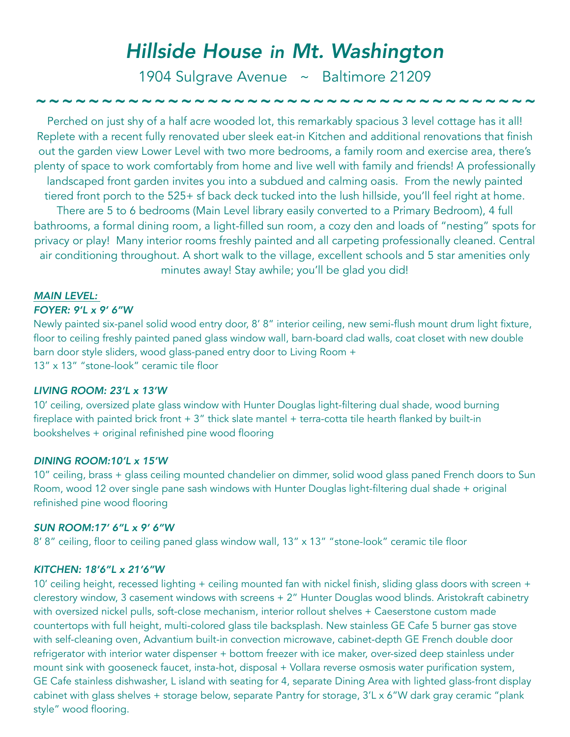# *Hillside House in Mt. Washington*

1904 Sulgrave Avenue ~ Baltimore 21209

# *~~~~~~~~~~~~~~~~~~~~~~~~~~~~~~~~~~~~~~*

Perched on just shy of a half acre wooded lot, this remarkably spacious 3 level cottage has it all! Replete with a recent fully renovated uber sleek eat-in Kitchen and additional renovations that finish out the garden view Lower Level with two more bedrooms, a family room and exercise area, there's plenty of space to work comfortably from home and live well with family and friends! A professionally landscaped front garden invites you into a subdued and calming oasis. From the newly painted tiered front porch to the 525+ sf back deck tucked into the lush hillside, you'll feel right at home. There are 5 to 6 bedrooms (Main Level library easily converted to a Primary Bedroom), 4 full bathrooms, a formal dining room, a light-filled sun room, a cozy den and loads of "nesting" spots for privacy or play! Many interior rooms freshly painted and all carpeting professionally cleaned. Central air conditioning throughout. A short walk to the village, excellent schools and 5 star amenities only minutes away! Stay awhile; you'll be glad you did!

#### *MAIN LEVEL:*

#### *FOYER: 9'L x 9' 6"W*

Newly painted six-panel solid wood entry door, 8' 8" interior ceiling, new semi-flush mount drum light fixture, floor to ceiling freshly painted paned glass window wall, barn-board clad walls, coat closet with new double barn door style sliders, wood glass-paned entry door to Living Room + 13" x 13" "stone-look" ceramic tile floor

# *LIVING ROOM: 23'L x 13'W*

10' ceiling, oversized plate glass window with Hunter Douglas light-filtering dual shade, wood burning fireplace with painted brick front  $+ 3$ " thick slate mantel  $+$  terra-cotta tile hearth flanked by built-in bookshelves + original refinished pine wood flooring

### *DINING ROOM:10'L x 15'W*

10" ceiling, brass + glass ceiling mounted chandelier on dimmer, solid wood glass paned French doors to Sun Room, wood 12 over single pane sash windows with Hunter Douglas light-filtering dual shade + original refinished pine wood flooring

#### *SUN ROOM:17' 6"L x 9' 6"W*

8' 8" ceiling, floor to ceiling paned glass window wall, 13" x 13" "stone-look" ceramic tile floor

#### *KITCHEN: 18'6"L x 21'6"W*

10' ceiling height, recessed lighting + ceiling mounted fan with nickel finish, sliding glass doors with screen + clerestory window, 3 casement windows with screens + 2" Hunter Douglas wood blinds. Aristokraft cabinetry with oversized nickel pulls, soft-close mechanism, interior rollout shelves + Caeserstone custom made countertops with full height, multi-colored glass tile backsplash. New stainless GE Cafe 5 burner gas stove with self-cleaning oven, Advantium built-in convection microwave, cabinet-depth GE French double door refrigerator with interior water dispenser + bottom freezer with ice maker, over-sized deep stainless under mount sink with gooseneck faucet, insta-hot, disposal + Vollara reverse osmosis water purification system, GE Cafe stainless dishwasher, L island with seating for 4, separate Dining Area with lighted glass-front display cabinet with glass shelves + storage below, separate Pantry for storage, 3'L x 6"W dark gray ceramic "plank style" wood flooring.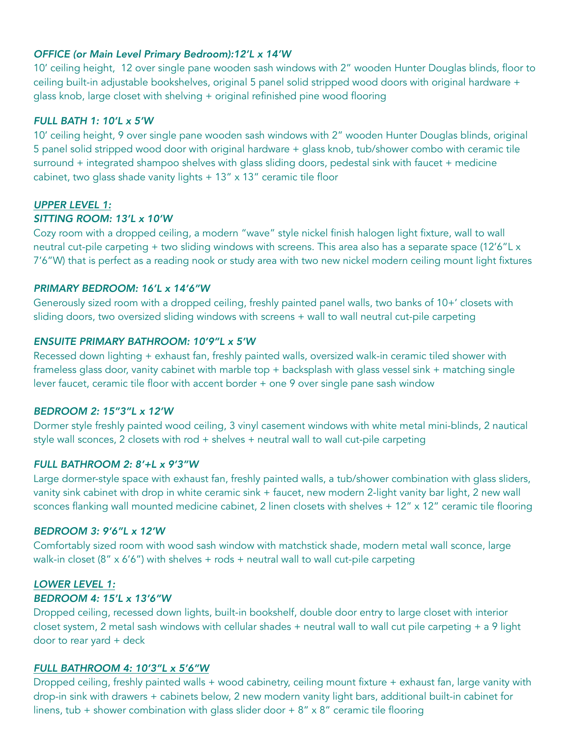# *OFFICE (or Main Level Primary Bedroom):12'L x 14'W*

10' ceiling height, 12 over single pane wooden sash windows with 2" wooden Hunter Douglas blinds, floor to ceiling built-in adjustable bookshelves, original 5 panel solid stripped wood doors with original hardware + glass knob, large closet with shelving + original refinished pine wood flooring

# *FULL BATH 1: 10'L x 5'W*

10' ceiling height, 9 over single pane wooden sash windows with 2" wooden Hunter Douglas blinds, original 5 panel solid stripped wood door with original hardware + glass knob, tub/shower combo with ceramic tile surround + integrated shampoo shelves with glass sliding doors, pedestal sink with faucet + medicine cabinet, two glass shade vanity lights  $+ 13'' \times 13''$  ceramic tile floor

#### *UPPER LEVEL 1:*

#### *SITTING ROOM: 13'L x 10'W*

Cozy room with a dropped ceiling, a modern "wave" style nickel finish halogen light fixture, wall to wall neutral cut-pile carpeting + two sliding windows with screens. This area also has a separate space (12'6"L x 7'6"W) that is perfect as a reading nook or study area with two new nickel modern ceiling mount light fixtures

# *PRIMARY BEDROOM: 16'L x 14'6"W*

Generously sized room with a dropped ceiling, freshly painted panel walls, two banks of 10+' closets with sliding doors, two oversized sliding windows with screens + wall to wall neutral cut-pile carpeting

# *ENSUITE PRIMARY BATHROOM: 10'9"L x 5'W*

Recessed down lighting + exhaust fan, freshly painted walls, oversized walk-in ceramic tiled shower with frameless glass door, vanity cabinet with marble top + backsplash with glass vessel sink + matching single lever faucet, ceramic tile floor with accent border + one 9 over single pane sash window

#### *BEDROOM 2: 15''3"L x 12'W*

Dormer style freshly painted wood ceiling, 3 vinyl casement windows with white metal mini-blinds, 2 nautical style wall sconces, 2 closets with rod + shelves + neutral wall to wall cut-pile carpeting

#### *FULL BATHROOM 2: 8'+L x 9'3"W*

Large dormer-style space with exhaust fan, freshly painted walls, a tub/shower combination with glass sliders, vanity sink cabinet with drop in white ceramic sink + faucet, new modern 2-light vanity bar light, 2 new wall sconces flanking wall mounted medicine cabinet, 2 linen closets with shelves + 12" x 12" ceramic tile flooring

#### *BEDROOM 3: 9'6"L x 12'W*

Comfortably sized room with wood sash window with matchstick shade, modern metal wall sconce, large walk-in closet ( $8'' \times 6'6''$ ) with shelves + rods + neutral wall to wall cut-pile carpeting

# *LOWER LEVEL 1:*

### *BEDROOM 4: 15'L x 13'6"W*

Dropped ceiling, recessed down lights, built-in bookshelf, double door entry to large closet with interior closet system, 2 metal sash windows with cellular shades + neutral wall to wall cut pile carpeting + a 9 light door to rear yard + deck

#### *FULL BATHROOM 4: 10'3"L x 5'6"W*

Dropped ceiling, freshly painted walls + wood cabinetry, ceiling mount fixture + exhaust fan, large vanity with drop-in sink with drawers + cabinets below, 2 new modern vanity light bars, additional built-in cabinet for linens, tub + shower combination with glass slider door +  $8'' \times 8''$  ceramic tile flooring